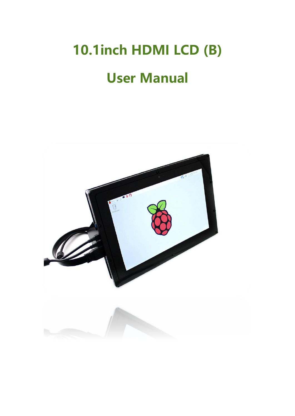# **10.1inch HDMI LCD (B)**

# **User Manual**

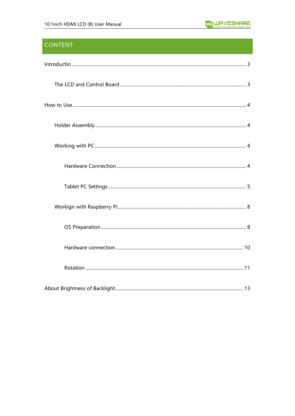# **CONTENT**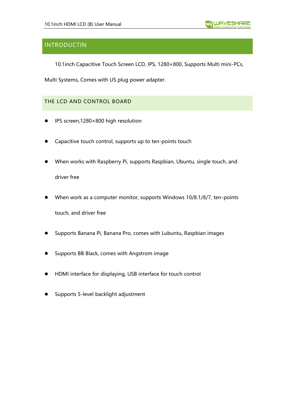# <span id="page-2-0"></span>INTRODUCTIN

10.1inch Capacitive Touch Screen LCD, IPS, 1280×800, Supports Multi mini-PCs,

Multi Systems, Comes with US plug power adapter.

# <span id="page-2-1"></span>THE LCD AND CONTROL BOARD

- IPS screen,1280×800 high resolution
- ⚫ Capacitive touch control, supports up to ten-points touch
- ⚫ When works with Raspberry Pi, supports Raspbian, Ubuntu, single touch, and driver free
- When work as a computer monitor, supports Windows 10/8.1/8/7, ten-points touch, and driver free
- ⚫ Supports Banana Pi, Banana Pro, comes with Lubuntu, Raspbian images
- ⚫ Supports BB Black, comes with Angstrom image
- ⚫ HDMI interface for displaying, USB interface for touch control
- ⚫ Supports 5-level backlight adjustment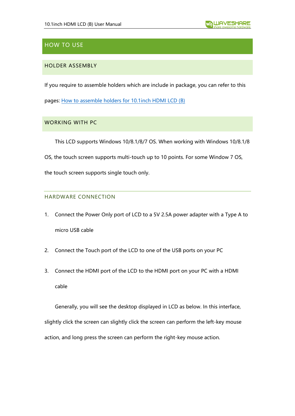# <span id="page-3-0"></span>HOW TO USE

# <span id="page-3-1"></span>HOLDER ASSEMBLY

If you require to assemble holders which are include in package, you can refer to this

pages: [How to assemble holders for 10.1inch HDMI LCD \(B\)](https://www.waveshare.com/w/upload/4/4a/10.1inch-HDMI-LCD-B-with-Holder-assemble.jpg)

# <span id="page-3-2"></span>WORKING WITH PC

This LCD supports Windows 10/8.1/8/7 OS. When working with Windows 10/8.1/8

OS, the touch screen supports multi-touch up to 10 points. For some Window 7 OS,

the touch screen supports single touch only.

# <span id="page-3-3"></span>HARDWARE CONNECTION

- 1. Connect the Power Only port of LCD to a 5V 2.5A power adapter with a Type A to micro USB cable
- 2. Connect the Touch port of the LCD to one of the USB ports on your PC
- 3. Connect the HDMI port of the LCD to the HDMI port on your PC with a HDMI cable

Generally, you will see the desktop displayed in LCD as below. In this interface, slightly click the screen can slightly click the screen can perform the left-key mouse action, and long press the screen can perform the right-key mouse action.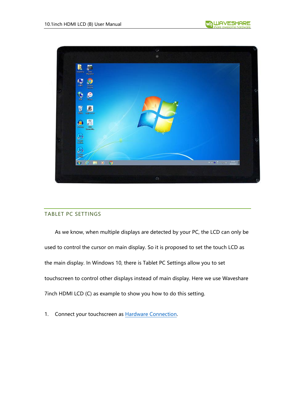





## <span id="page-4-0"></span>TABLET PC SETTINGS

As we know, when multiple displays are detected by your PC, the LCD can only be used to control the cursor on main display. So it is proposed to set the touch LCD as the main display. In Windows 10, there is Tablet PC Settings allow you to set touchscreen to control other displays instead of main display. Here we use Waveshare 7inch HDMI LCD (C) as example to show you how to do this setting.

1. Connect your touchscreen as [Hardware Connection.](#page-3-3)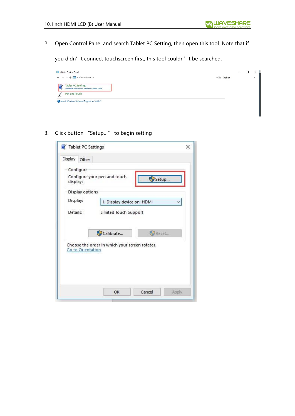2. Open Control Panel and search Tablet PC Setting, then open this tool. Note that if

you didn't connect touchscreen first, this tool couldn't be searched.



3. Click button "Setup…" to begin setting

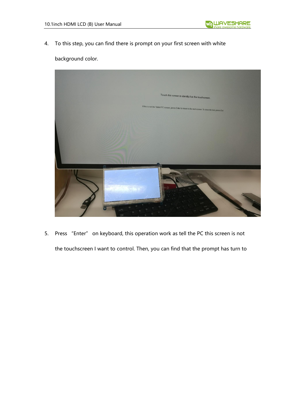4. To this step, you can find there is prompt on your first screen with white



# background color.

5. Press "Enter" on keyboard, this operation work as tell the PC this screen is not the touchscreen I want to control. Then, you can find that the prompt has turn to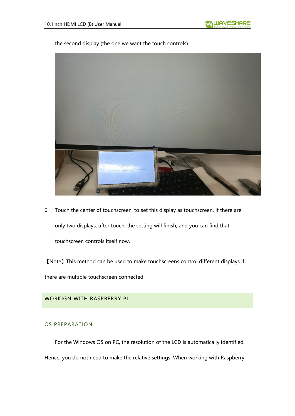#### the second display (the one we want the touch controls)



6. Touch the center of touchscreen, to set this display as touchscreen. If there are only two displays, after touch, the setting will finish, and you can find that touchscreen controls itself now.

【Note】This method can be used to make touchscreens control different displays if there are multiple touchscreen connected.

#### <span id="page-7-1"></span><span id="page-7-0"></span>WORKIGN WITH RASPBERRY PI

#### OS PREPARATION

For the Windows OS on PC, the resolution of the LCD is automatically identified. Hence, you do not need to make the relative settings. When working with Raspberry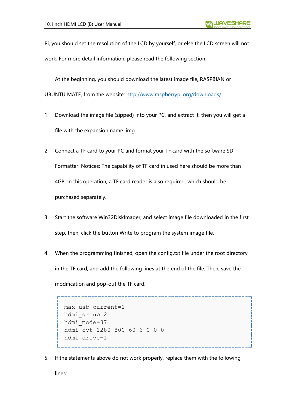Pi, you should set the resolution of the LCD by yourself, or else the LCD screen will not work. For more detail information, please read the following section.

At the beginning, you should download the latest image file, RASPBIAN or UBUNTU MATE, from the website: [http://www.raspberrypi.org/downloads/.](http://www.raspberrypi.org/downloads/)

- 1. Download the image file (zipped) into your PC, and extract it, then you will get a file with the expansion name .img
- 2. Connect a TF card to your PC and format your TF card with the software SD Formatter. Notices: The capability of TF card in used here should be more than 4GB. In this operation, a TF card reader is also required, which should be purchased separately.
- 3. Start the software Win32DiskImager, and select image file downloaded in the first step, then, click the button Write to program the system image file.
- 4. When the programming finished, open the config.txt file under the root directory in the TF card, and add the following lines at the end of the file. Then, save the modification and pop-out the TF card.

```
max_usb_current=1
hdmi_group=2
hdmi mode=87
hdmi_cvt 1280 800 60 6 0 0 0
hdmi_drive=1
```
5. If the statements above do not work properly, replace them with the following

lines: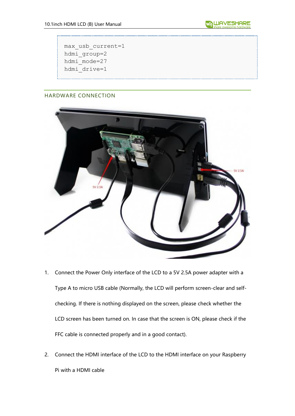max\_usb\_current=1 hdmi\_group=2 hdmi\_mode=27 hdmi\_drive=1

# <span id="page-9-0"></span>HARDWARE CONNECTION



\_\_\_\_\_\_\_\_\_\_\_\_\_\_\_\_\_\_\_\_

- 1. Connect the Power Only interface of the LCD to a 5V 2.5A power adapter with a Type A to micro USB cable (Normally, the LCD will perform screen-clear and selfchecking. If there is nothing displayed on the screen, please check whether the LCD screen has been turned on. In case that the screen is ON, please check if the FFC cable is connected properly and in a good contact).
- 2. Connect the HDMI interface of the LCD to the HDMI interface on your Raspberry Pi with a HDMI cable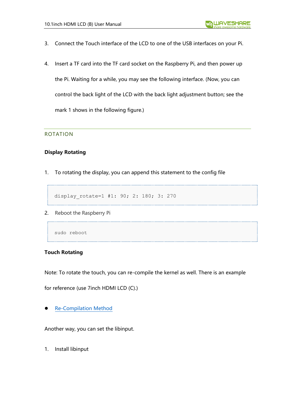- 3. Connect the Touch interface of the LCD to one of the USB interfaces on your Pi.
- 4. Insert a TF card into the TF card socket on the Raspberry Pi, and then power up

the Pi. Waiting for a while, you may see the following interface. (Now, you can control the back light of the LCD with the back light adjustment button; see the mark 1 shows in the following figure.)

#### <span id="page-10-0"></span>ROTATION

## **Display Rotating**

1. To rotating the display, you can append this statement to the config file

-----------------------------------

\_\_\_\_\_\_\_\_\_\_\_\_\_\_\_\_\_\_\_\_\_\_\_\_\_\_\_\_\_\_\_\_\_\_\_\_

display rotate=1 #1: 90; 2: 180; 3: 270

2. Reboot the Raspberry Pi

sudo reboot

#### **Touch Rotating**

Note: To rotate the touch, you can re-compile the kernel as well. There is an example

for reference (use 7inch HDMI LCD (C).)

⚫ [Re-Compilation Method](https://wavesharejfs.blogspot.com/2018/03/re-compile-raspbian-kernel-for-touch.html)

Another way, you can set the libinput.

1. Install libinput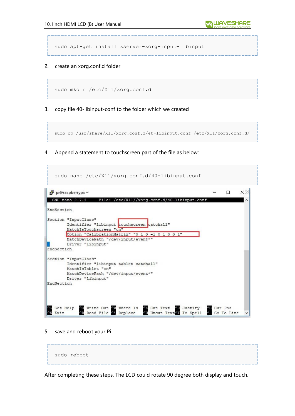sudo apt-get install xserver-xorg-input-libinput

#### 2. create an xorg.conf.d folder

```
sudo mkdir /etc/X11/xorg.conf.d
```
3. copy file 40-libinput-conf to the folder which we created

```
sudo cp /usr/share/X11/xorg.conf.d/40-libinput.conf /etc/X11/xorg.conf.d/
```
4. Append a statement to touchscreen part of the file as below:

```
sudo nano /etc/X11/xorg.conf.d/40-libinput.conf
 pi@raspberrypi: ~
                                                                               \BoxXX
                                                                         \simGNU nano 2.7.4
                      File: /etc/X11//xorg.conf.d/40-libinput.conf
EndSection
Section "InputClass"
        Identifier "libinput touchscreen catchall"
        MatchIsTouchscreen "on"
        Option "CalibrationMatrix" "0 1 0 -1 0 1 0 0 1"
        MatchDevicePath "/dev/input/event*"
        Driver "libinput"
EndSection
Section "InputClass"
        Identifier "libinput tablet catchall"
        MatchIsTablet "on"
       MatchDevicePath "/dev/input/event*"
        Driver "libinput"
EndSection
              ^O Write Out ^W Where Is ^K Cut Text ^J Justify<br>^R Read File ^\ Replace ^U Uncut Text^T To Spell
                                                                      AC Cur Pos<br>A Go To Line
 G Get Help
  Exit
```
5. save and reboot your Pi



After completing these steps. The LCD could rotate 90 degree both display and touch.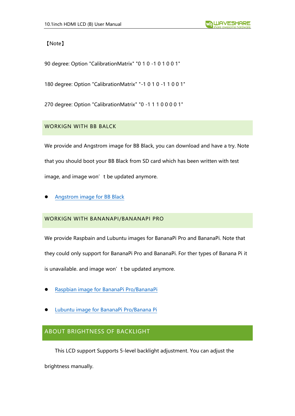【Note】

90 degree: Option "CalibrationMatrix" "0 1 0 -1 0 1 0 0 1"

180 degree: Option "CalibrationMatrix" "-1 0 1 0 -1 1 0 0 1"

270 degree: Option "CalibrationMatrix" "0 -1 1 1 0 0 0 0 1"

# WORKIGN WITH BB BALCK

We provide and Angstrom image for BB Black, you can download and have a try. Note that you should boot your BB Black from SD card which has been written with test image, and image won't be updated anymore.

⚫ [Angstrom image for BB Black](https://drive.google.com/open?id=0B8Xjwnqc7XAMQjMxeWZjS2hUMjg)

# WORKIGN WITH BANANAPI/BANANAPI PRO

We provide Raspbain and Lubuntu images for BananaPi Pro and BananaPi. Note that they could only support for BananaPi Pro and BananaPi. For ther types of Banana Pi it is unavailable. and image won't be updated anymore.

- ⚫ [Raspbian image for BananaPi Pro/BananaPi](https://drive.google.com/open?id=0B8Xjwnqc7XAMcEJnVVplWVM5TXM)
- ⚫ [Lubuntu image for BananaPi Pro/Banana Pi](https://drive.google.com/open?id=0B8Xjwnqc7XAMSTl6dGpMWm10NFU)

# <span id="page-12-0"></span>ABOUT BRIGHTNESS OF BACKLIGHT

This LCD support Supports 5-level backlight adjustment. You can adjust the

brightness manually.